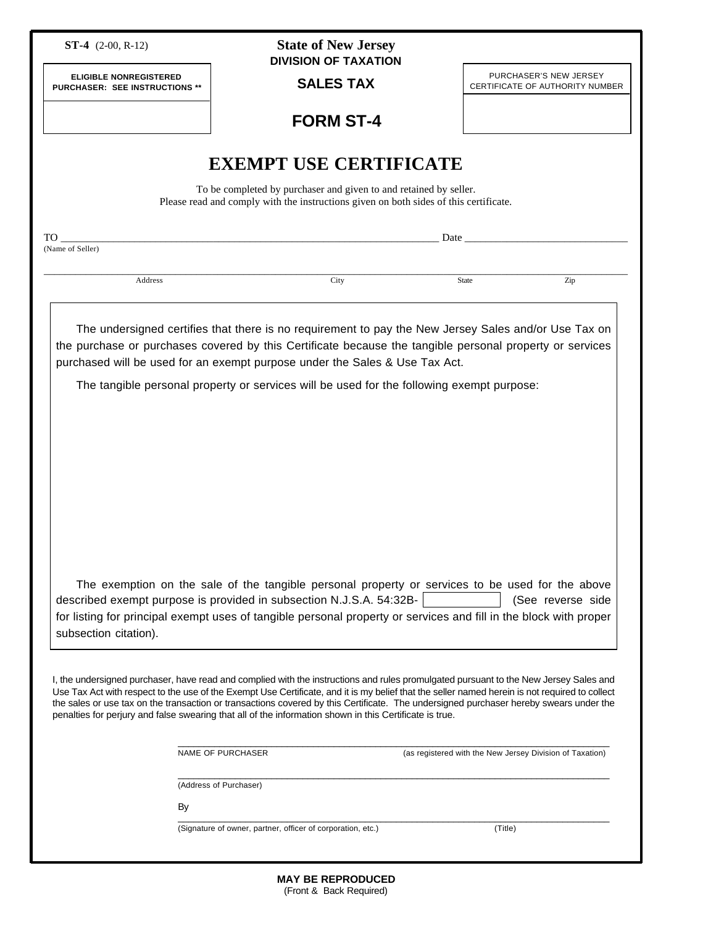|                                                                        |                                                                                                                                                                                                                                                                                                 | <b>State of New Jersey</b><br><b>DIVISION OF TAXATION</b> |                                                                                                                                                                                                                               |                                                           |
|------------------------------------------------------------------------|-------------------------------------------------------------------------------------------------------------------------------------------------------------------------------------------------------------------------------------------------------------------------------------------------|-----------------------------------------------------------|-------------------------------------------------------------------------------------------------------------------------------------------------------------------------------------------------------------------------------|-----------------------------------------------------------|
| <b>ELIGIBLE NONREGISTERED</b><br><b>PURCHASER: SEE INSTRUCTIONS **</b> |                                                                                                                                                                                                                                                                                                 | <b>SALES TAX</b>                                          |                                                                                                                                                                                                                               | PURCHASER'S NEW JERSEY<br>CERTIFICATE OF AUTHORITY NUMBER |
|                                                                        |                                                                                                                                                                                                                                                                                                 | <b>FORM ST-4</b>                                          |                                                                                                                                                                                                                               |                                                           |
|                                                                        | <b>EXEMPT USE CERTIFICATE</b>                                                                                                                                                                                                                                                                   |                                                           |                                                                                                                                                                                                                               |                                                           |
|                                                                        | To be completed by purchaser and given to and retained by seller.<br>Please read and comply with the instructions given on both sides of this certificate.                                                                                                                                      |                                                           |                                                                                                                                                                                                                               |                                                           |
| TO T<br>(Name of Seller)                                               |                                                                                                                                                                                                                                                                                                 |                                                           | Date and the same state of the same state of the same state of the same state of the same state of the same state of the same state of the same state of the same state of the same state of the same state of the same state |                                                           |
|                                                                        |                                                                                                                                                                                                                                                                                                 |                                                           |                                                                                                                                                                                                                               |                                                           |
| Address                                                                |                                                                                                                                                                                                                                                                                                 | City                                                      | <b>State</b>                                                                                                                                                                                                                  | Zip                                                       |
|                                                                        | The undersigned certifies that there is no requirement to pay the New Jersey Sales and/or Use Tax on<br>the purchase or purchases covered by this Certificate because the tangible personal property or services<br>purchased will be used for an exempt purpose under the Sales & Use Tax Act. |                                                           |                                                                                                                                                                                                                               |                                                           |
|                                                                        | The tangible personal property or services will be used for the following exempt purpose:                                                                                                                                                                                                       |                                                           |                                                                                                                                                                                                                               |                                                           |
|                                                                        |                                                                                                                                                                                                                                                                                                 |                                                           |                                                                                                                                                                                                                               |                                                           |
|                                                                        |                                                                                                                                                                                                                                                                                                 |                                                           |                                                                                                                                                                                                                               |                                                           |
|                                                                        |                                                                                                                                                                                                                                                                                                 |                                                           |                                                                                                                                                                                                                               |                                                           |
|                                                                        |                                                                                                                                                                                                                                                                                                 |                                                           |                                                                                                                                                                                                                               |                                                           |
|                                                                        |                                                                                                                                                                                                                                                                                                 |                                                           |                                                                                                                                                                                                                               |                                                           |
|                                                                        |                                                                                                                                                                                                                                                                                                 |                                                           |                                                                                                                                                                                                                               |                                                           |
|                                                                        |                                                                                                                                                                                                                                                                                                 |                                                           |                                                                                                                                                                                                                               |                                                           |
|                                                                        |                                                                                                                                                                                                                                                                                                 |                                                           |                                                                                                                                                                                                                               |                                                           |
|                                                                        |                                                                                                                                                                                                                                                                                                 |                                                           |                                                                                                                                                                                                                               |                                                           |
|                                                                        |                                                                                                                                                                                                                                                                                                 |                                                           |                                                                                                                                                                                                                               |                                                           |
|                                                                        |                                                                                                                                                                                                                                                                                                 |                                                           |                                                                                                                                                                                                                               |                                                           |
|                                                                        | The exemption on the sale of the tangible personal property or services to be used for the above                                                                                                                                                                                                |                                                           |                                                                                                                                                                                                                               |                                                           |
|                                                                        | described exempt purpose is provided in subsection N.J.S.A. 54:32B-<br>for listing for principal exempt uses of tangible personal property or services and fill in the block with proper                                                                                                        |                                                           |                                                                                                                                                                                                                               | (See reverse side                                         |
| subsection citation).                                                  |                                                                                                                                                                                                                                                                                                 |                                                           |                                                                                                                                                                                                                               |                                                           |
|                                                                        |                                                                                                                                                                                                                                                                                                 |                                                           |                                                                                                                                                                                                                               |                                                           |
|                                                                        |                                                                                                                                                                                                                                                                                                 |                                                           |                                                                                                                                                                                                                               |                                                           |
|                                                                        | I, the undersigned purchaser, have read and complied with the instructions and rules promulgated pursuant to the New Jersey Sales and                                                                                                                                                           |                                                           |                                                                                                                                                                                                                               |                                                           |
|                                                                        | Use Tax Act with respect to the use of the Exempt Use Certificate, and it is my belief that the seller named herein is not required to collect<br>the sales or use tax on the transaction or transactions covered by this Certificate. The undersigned purchaser hereby swears under the        |                                                           |                                                                                                                                                                                                                               |                                                           |
|                                                                        | penalties for perjury and false swearing that all of the information shown in this Certificate is true.                                                                                                                                                                                         |                                                           |                                                                                                                                                                                                                               |                                                           |
|                                                                        |                                                                                                                                                                                                                                                                                                 |                                                           |                                                                                                                                                                                                                               |                                                           |
|                                                                        | NAME OF PURCHASER                                                                                                                                                                                                                                                                               |                                                           |                                                                                                                                                                                                                               | (as registered with the New Jersey Division of Taxation)  |
|                                                                        | (Address of Purchaser)                                                                                                                                                                                                                                                                          |                                                           |                                                                                                                                                                                                                               |                                                           |
|                                                                        |                                                                                                                                                                                                                                                                                                 |                                                           |                                                                                                                                                                                                                               |                                                           |
|                                                                        | By<br>(Signature of owner, partner, officer of corporation, etc.)                                                                                                                                                                                                                               |                                                           | (Title)                                                                                                                                                                                                                       |                                                           |